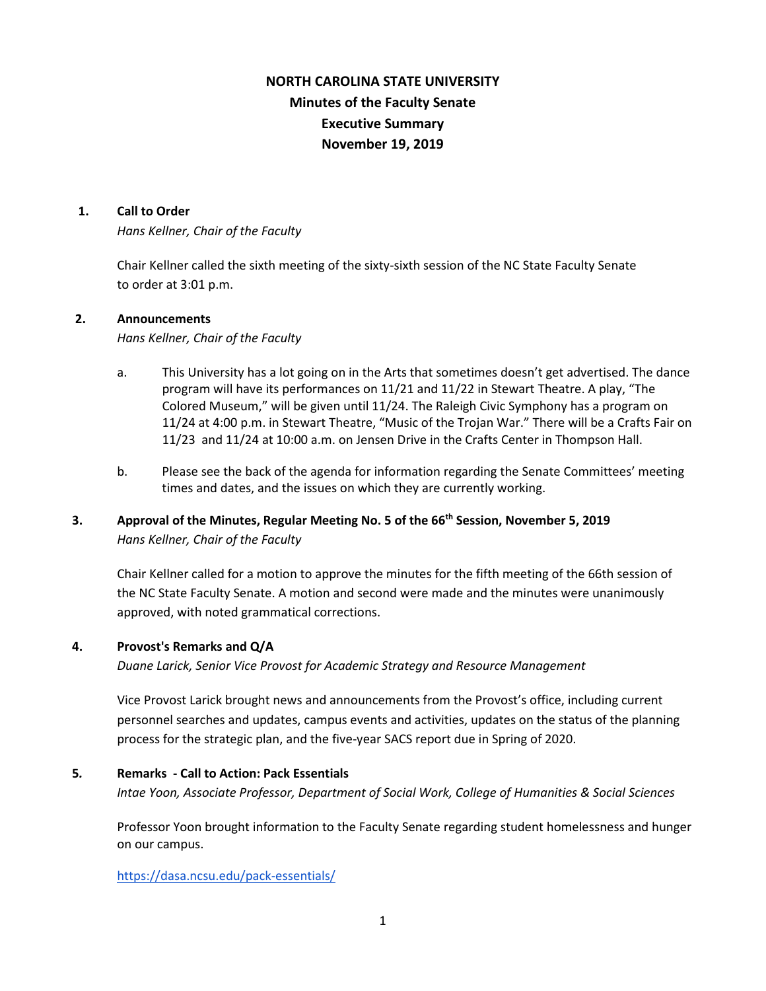# **NORTH CAROLINA STATE UNIVERSITY Minutes of the Faculty Senate Executive Summary November 19, 2019**

#### **1. Call to Order**

*Hans Kellner, Chair of the Faculty*

Chair Kellner called the sixth meeting of the sixty-sixth session of the NC State Faculty Senate to order at 3:01 p.m.

#### **2. Announcements**

*Hans Kellner, Chair of the Faculty*

- a. This University has a lot going on in the Arts that sometimes doesn't get advertised. The dance program will have its performances on 11/21 and 11/22 in Stewart Theatre. A play, "The Colored Museum," will be given until 11/24. The Raleigh Civic Symphony has a program on 11/24 at 4:00 p.m. in Stewart Theatre, "Music of the Trojan War." There will be a Crafts Fair on 11/23 and 11/24 at 10:00 a.m. on Jensen Drive in the Crafts Center in Thompson Hall.
- b. Please see the back of the agenda for information regarding the Senate Committees' meeting times and dates, and the issues on which they are currently working.

## **3. Approval of the Minutes, Regular Meeting No. 5 of the 66th Session, November 5, 2019** *Hans Kellner, Chair of the Faculty*

Chair Kellner called for a motion to approve the minutes for the fifth meeting of the 66th session of the NC State Faculty Senate. A motion and second were made and the minutes were unanimously approved, with noted grammatical corrections.

## **4. Provost's Remarks and Q/A**

*Duane Larick, Senior Vice Provost for Academic Strategy and Resource Management* 

Vice Provost Larick brought news and announcements from the Provost's office, including current personnel searches and updates, campus events and activities, updates on the status of the planning process for the strategic plan, and the five-year SACS report due in Spring of 2020.

#### **5***.* **Remarks - Call to Action: Pack Essentials**

*Intae Yoon, Associate Professor, Department of Social Work, College of Humanities & Social Sciences*

Professor Yoon brought information to the Faculty Senate regarding student homelessness and hunger on our campus.

<https://dasa.ncsu.edu/pack-essentials/>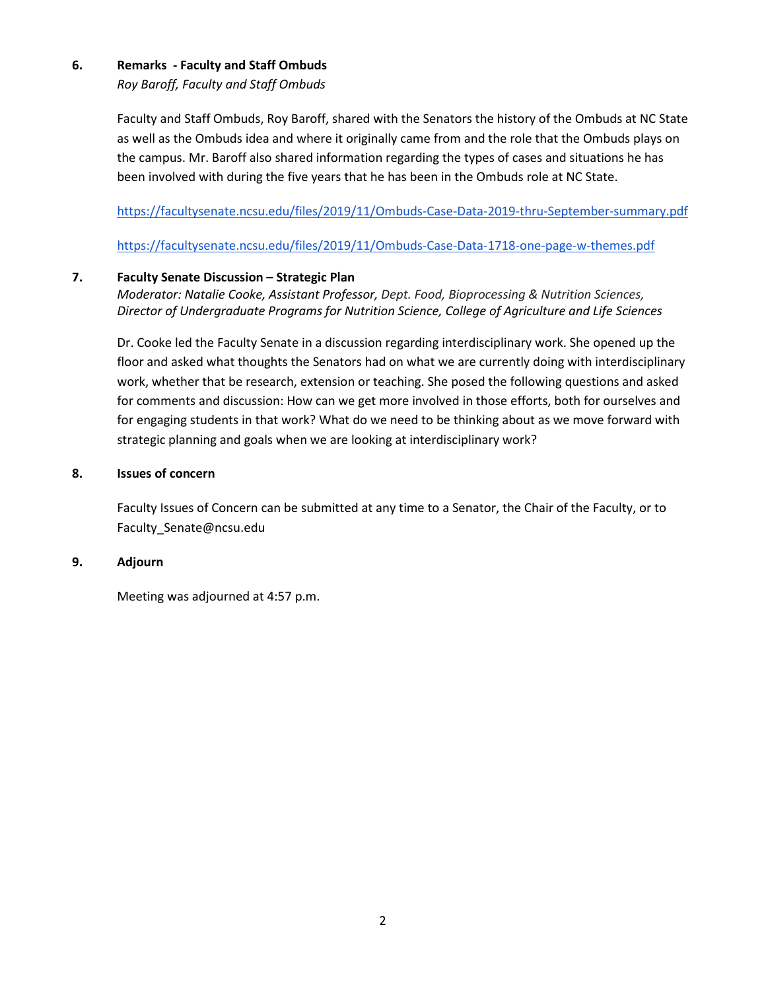## **6. Remarks - Faculty and Staff Ombuds**

*Roy Baroff, Faculty and Staff Ombuds*

Faculty and Staff Ombuds, Roy Baroff, shared with the Senators the history of the Ombuds at NC State as well as the Ombuds idea and where it originally came from and the role that the Ombuds plays on the campus. Mr. Baroff also shared information regarding the types of cases and situations he has been involved with during the five years that he has been in the Ombuds role at NC State.

<https://facultysenate.ncsu.edu/files/2019/11/Ombuds-Case-Data-2019-thru-September-summary.pdf>

<https://facultysenate.ncsu.edu/files/2019/11/Ombuds-Case-Data-1718-one-page-w-themes.pdf>

## **7. Faculty Senate Discussion – Strategic Plan**

*Moderator: Natalie Cooke, Assistant Professor, Dept. Food, Bioprocessing & Nutrition Sciences, Director of Undergraduate Programs for Nutrition Science, College of Agriculture and Life Sciences*

Dr. Cooke led the Faculty Senate in a discussion regarding interdisciplinary work. She opened up the floor and asked what thoughts the Senators had on what we are currently doing with interdisciplinary work, whether that be research, extension or teaching. She posed the following questions and asked for comments and discussion: How can we get more involved in those efforts, both for ourselves and for engaging students in that work? What do we need to be thinking about as we move forward with strategic planning and goals when we are looking at interdisciplinary work?

## **8. Issues of concern**

 Faculty Issues of Concern can be submitted at any time to a Senator, the Chair of the Faculty, or to Faculty\_Senate@ncsu.edu

## **9. Adjourn**

Meeting was adjourned at 4:57 p.m.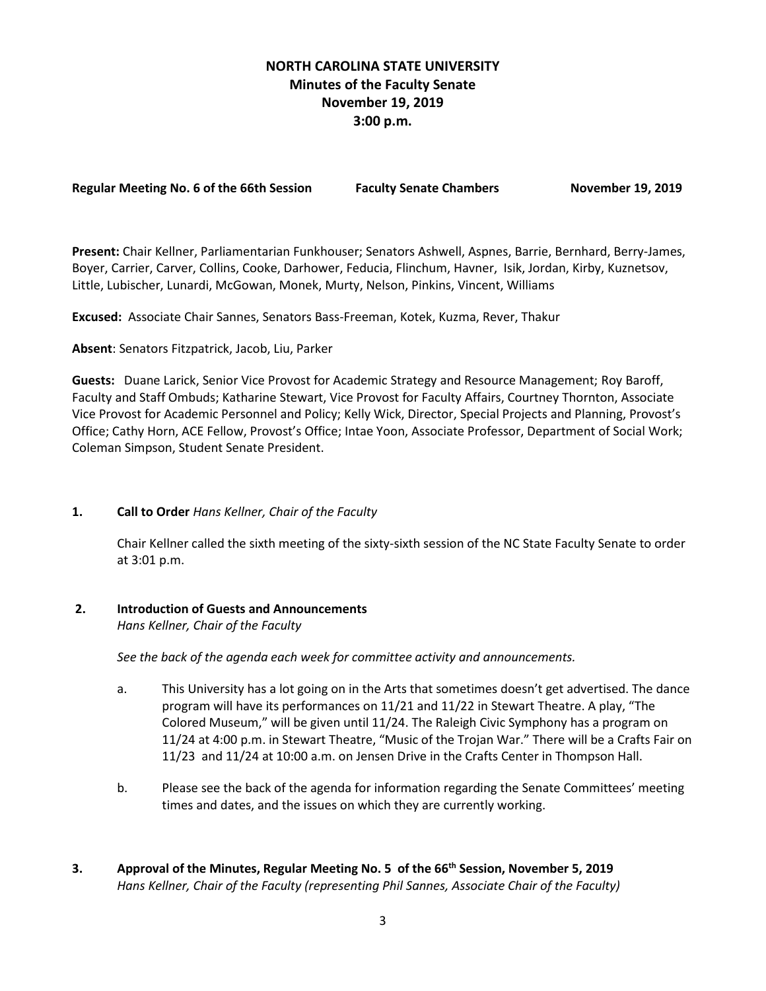## **NORTH CAROLINA STATE UNIVERSITY Minutes of the Faculty Senate November 19, 2019 3:00 p.m.**

**Regular Meeting No. 6 of the 66th Session Faculty Senate Chambers November 19, 2019**

**Present:** Chair Kellner, Parliamentarian Funkhouser; Senators Ashwell, Aspnes, Barrie, Bernhard, Berry-James, Boyer, Carrier, Carver, Collins, Cooke, Darhower, Feducia, Flinchum, Havner, Isik, Jordan, Kirby, Kuznetsov, Little, Lubischer, Lunardi, McGowan, Monek, Murty, Nelson, Pinkins, Vincent, Williams

**Excused:** Associate Chair Sannes, Senators Bass-Freeman, Kotek, Kuzma, Rever, Thakur

**Absent**: Senators Fitzpatrick, Jacob, Liu, Parker

**Guests:** Duane Larick, Senior Vice Provost for Academic Strategy and Resource Management; Roy Baroff, Faculty and Staff Ombuds; Katharine Stewart, Vice Provost for Faculty Affairs, Courtney Thornton, Associate Vice Provost for Academic Personnel and Policy; Kelly Wick, Director, Special Projects and Planning, Provost's Office; Cathy Horn, ACE Fellow, Provost's Office; Intae Yoon, Associate Professor, Department of Social Work; Coleman Simpson, Student Senate President.

## **1. Call to Order** *Hans Kellner, Chair of the Faculty*

Chair Kellner called the sixth meeting of the sixty-sixth session of the NC State Faculty Senate to order at 3:01 p.m.

## **2. Introduction of Guests and Announcements**

*Hans Kellner, Chair of the Faculty*

 *See the back of the agenda each week for committee activity and announcements.*

- a. This University has a lot going on in the Arts that sometimes doesn't get advertised. The dance program will have its performances on 11/21 and 11/22 in Stewart Theatre. A play, "The Colored Museum," will be given until 11/24. The Raleigh Civic Symphony has a program on 11/24 at 4:00 p.m. in Stewart Theatre, "Music of the Trojan War." There will be a Crafts Fair on 11/23 and 11/24 at 10:00 a.m. on Jensen Drive in the Crafts Center in Thompson Hall.
- b. Please see the back of the agenda for information regarding the Senate Committees' meeting times and dates, and the issues on which they are currently working.
- **3. Approval of the Minutes, Regular Meeting No. 5 of the 66th Session, November 5, 2019** *Hans Kellner, Chair of the Faculty (representing Phil Sannes, Associate Chair of the Faculty)*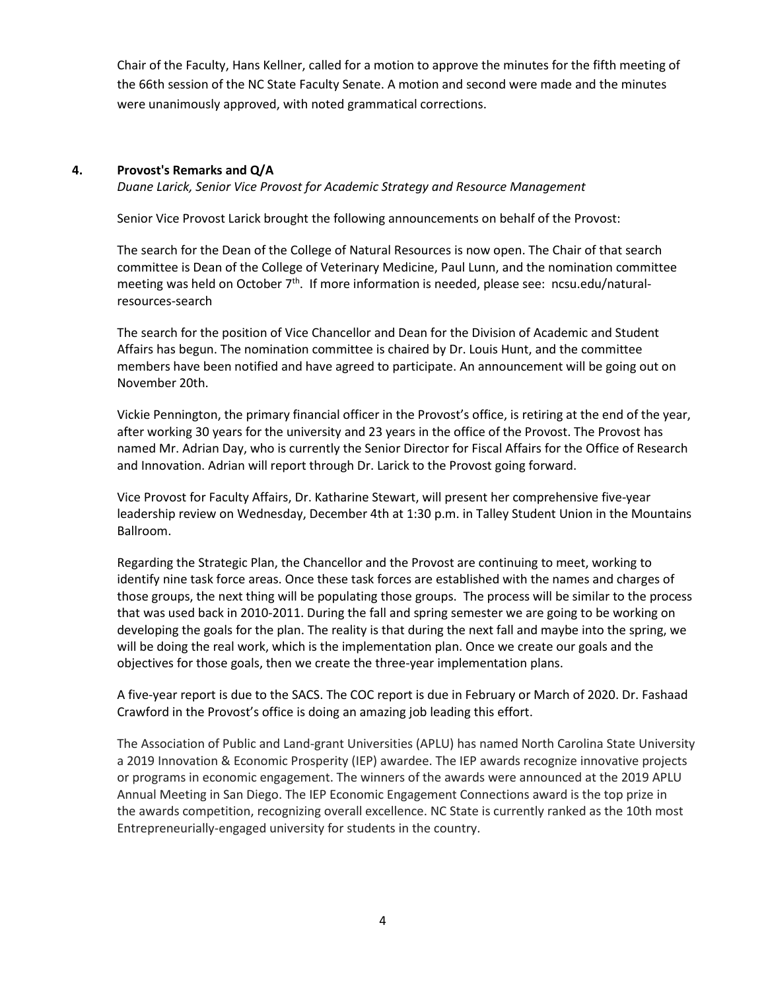Chair of the Faculty, Hans Kellner, called for a motion to approve the minutes for the fifth meeting of the 66th session of the NC State Faculty Senate. A motion and second were made and the minutes were unanimously approved, with noted grammatical corrections.

## **4. Provost's Remarks and Q/A**

*Duane Larick, Senior Vice Provost for Academic Strategy and Resource Management*

Senior Vice Provost Larick brought the following announcements on behalf of the Provost:

The search for the Dean of the College of Natural Resources is now open. The Chair of that search committee is Dean of the College of Veterinary Medicine, Paul Lunn, and the nomination committee meeting was held on October  $7<sup>th</sup>$ . If more information is needed, please see: ncsu.edu/naturalresources-search

The search for the position of Vice Chancellor and Dean for the Division of Academic and Student Affairs has begun. The nomination committee is chaired by Dr. Louis Hunt, and the committee members have been notified and have agreed to participate. An announcement will be going out on November 20th.

Vickie Pennington, the primary financial officer in the Provost's office, is retiring at the end of the year, after working 30 years for the university and 23 years in the office of the Provost. The Provost has named Mr. Adrian Day, who is currently the Senior Director for Fiscal Affairs for the Office of Research and Innovation. Adrian will report through Dr. Larick to the Provost going forward.

Vice Provost for Faculty Affairs, Dr. Katharine Stewart, will present her comprehensive five-year leadership review on Wednesday, December 4th at 1:30 p.m. in Talley Student Union in the Mountains Ballroom.

Regarding the Strategic Plan, the Chancellor and the Provost are continuing to meet, working to identify nine task force areas. Once these task forces are established with the names and charges of those groups, the next thing will be populating those groups. The process will be similar to the process that was used back in 2010-2011. During the fall and spring semester we are going to be working on developing the goals for the plan. The reality is that during the next fall and maybe into the spring, we will be doing the real work, which is the implementation plan. Once we create our goals and the objectives for those goals, then we create the three-year implementation plans.

A five-year report is due to the SACS. The COC report is due in February or March of 2020. Dr. Fashaad Crawford in the Provost's office is doing an amazing job leading this effort.

Th[e Association of Public and Land-grant Universities](https://www.aplu.org/) (APLU) has named North Carolina State University a 2019 Innovation & Economic Prosperity (IEP) awardee. The IEP awards recognize innovative projects or programs in economic engagement. The winners of the awards were announced at the 2019 APLU Annual Meeting in San Diego. The IEP Economic Engagement Connections award is the top prize in the awards competition, recognizing overall excellence. NC State is currently ranked as the 10th most Entrepreneurially-engaged university for students in the country.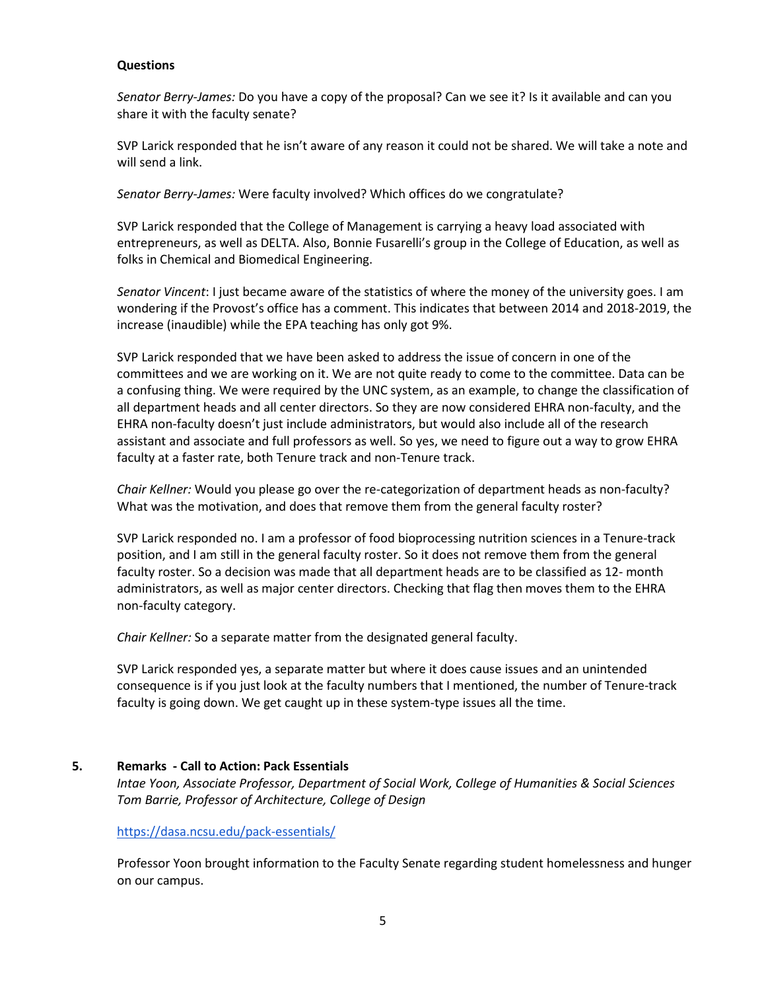## **Questions**

*Senator Berry-James:* Do you have a copy of the proposal? Can we see it? Is it available and can you share it with the faculty senate?

SVP Larick responded that he isn't aware of any reason it could not be shared. We will take a note and will send a link.

*Senator Berry-James:* Were faculty involved? Which offices do we congratulate?

SVP Larick responded that the College of Management is carrying a heavy load associated with entrepreneurs, as well as DELTA. Also, Bonnie Fusarelli's group in the College of Education, as well as folks in Chemical and Biomedical Engineering.

*Senator Vincent*: I just became aware of the statistics of where the money of the university goes. I am wondering if the Provost's office has a comment. This indicates that between 2014 and 2018-2019, the increase (inaudible) while the EPA teaching has only got 9%.

SVP Larick responded that we have been asked to address the issue of concern in one of the committees and we are working on it. We are not quite ready to come to the committee. Data can be a confusing thing. We were required by the UNC system, as an example, to change the classification of all department heads and all center directors. So they are now considered EHRA non-faculty, and the EHRA non-faculty doesn't just include administrators, but would also include all of the research assistant and associate and full professors as well. So yes, we need to figure out a way to grow EHRA faculty at a faster rate, both Tenure track and non-Tenure track.

*Chair Kellner:* Would you please go over the re-categorization of department heads as non-faculty? What was the motivation, and does that remove them from the general faculty roster?

SVP Larick responded no. I am a professor of food bioprocessing nutrition sciences in a Tenure-track position, and I am still in the general faculty roster. So it does not remove them from the general faculty roster. So a decision was made that all department heads are to be classified as 12- month administrators, as well as major center directors. Checking that flag then moves them to the EHRA non-faculty category.

*Chair Kellner:* So a separate matter from the designated general faculty.

SVP Larick responded yes, a separate matter but where it does cause issues and an unintended consequence is if you just look at the faculty numbers that I mentioned, the number of Tenure-track faculty is going down. We get caught up in these system-type issues all the time.

## **5. Remarks - Call to Action: Pack Essentials**

*Intae Yoon, Associate Professor, Department of Social Work, College of Humanities & Social Sciences Tom Barrie, Professor of Architecture, College of Design*

<https://dasa.ncsu.edu/pack-essentials/>

Professor Yoon brought information to the Faculty Senate regarding student homelessness and hunger on our campus.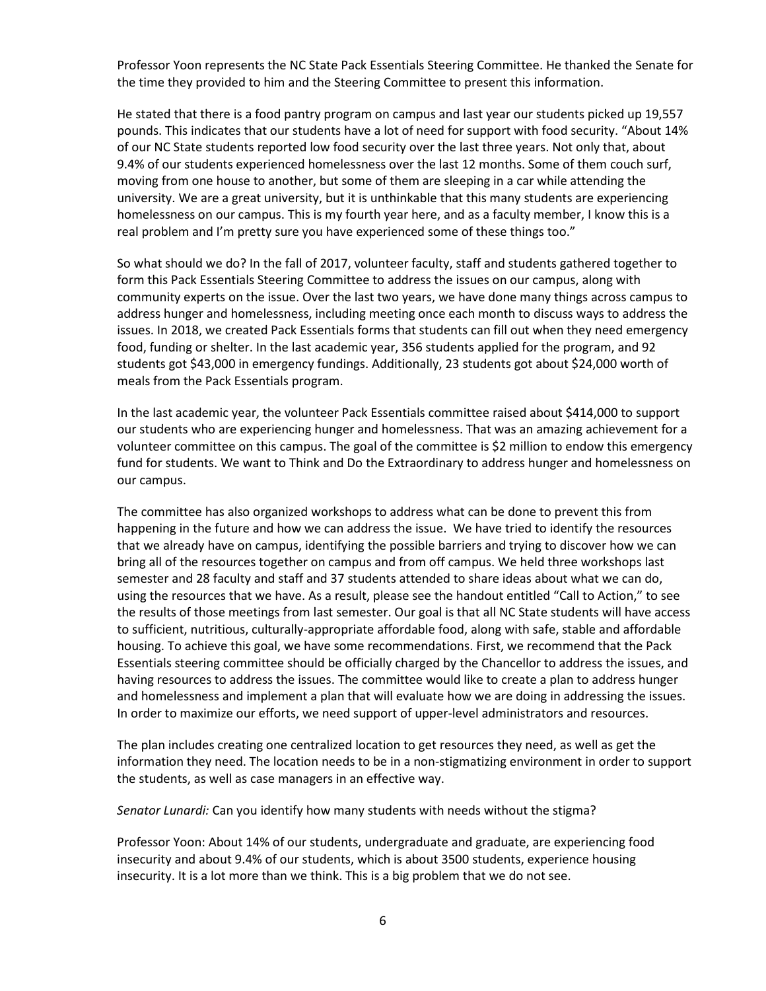Professor Yoon represents the NC State Pack Essentials Steering Committee. He thanked the Senate for the time they provided to him and the Steering Committee to present this information.

He stated that there is a food pantry program on campus and last year our students picked up 19,557 pounds. This indicates that our students have a lot of need for support with food security. "About 14% of our NC State students reported low food security over the last three years. Not only that, about 9.4% of our students experienced homelessness over the last 12 months. Some of them couch surf, moving from one house to another, but some of them are sleeping in a car while attending the university. We are a great university, but it is unthinkable that this many students are experiencing homelessness on our campus. This is my fourth year here, and as a faculty member, I know this is a real problem and I'm pretty sure you have experienced some of these things too."

So what should we do? In the fall of 2017, volunteer faculty, staff and students gathered together to form this Pack Essentials Steering Committee to address the issues on our campus, along with community experts on the issue. Over the last two years, we have done many things across campus to address hunger and homelessness, including meeting once each month to discuss ways to address the issues. In 2018, we created Pack Essentials forms that students can fill out when they need emergency food, funding or shelter. In the last academic year, 356 students applied for the program, and 92 students got \$43,000 in emergency fundings. Additionally, 23 students got about \$24,000 worth of meals from the Pack Essentials program.

In the last academic year, the volunteer Pack Essentials committee raised about \$414,000 to support our students who are experiencing hunger and homelessness. That was an amazing achievement for a volunteer committee on this campus. The goal of the committee is \$2 million to endow this emergency fund for students. We want to Think and Do the Extraordinary to address hunger and homelessness on our campus.

The committee has also organized workshops to address what can be done to prevent this from happening in the future and how we can address the issue. We have tried to identify the resources that we already have on campus, identifying the possible barriers and trying to discover how we can bring all of the resources together on campus and from off campus. We held three workshops last semester and 28 faculty and staff and 37 students attended to share ideas about what we can do, using the resources that we have. As a result, please see the handout entitled "Call to Action," to see the results of those meetings from last semester. Our goal is that all NC State students will have access to sufficient, nutritious, culturally-appropriate affordable food, along with safe, stable and affordable housing. To achieve this goal, we have some recommendations. First, we recommend that the Pack Essentials steering committee should be officially charged by the Chancellor to address the issues, and having resources to address the issues. The committee would like to create a plan to address hunger and homelessness and implement a plan that will evaluate how we are doing in addressing the issues. In order to maximize our efforts, we need support of upper-level administrators and resources.

The plan includes creating one centralized location to get resources they need, as well as get the information they need. The location needs to be in a non-stigmatizing environment in order to support the students, as well as case managers in an effective way.

*Senator Lunardi:* Can you identify how many students with needs without the stigma?

Professor Yoon: About 14% of our students, undergraduate and graduate, are experiencing food insecurity and about 9.4% of our students, which is about 3500 students, experience housing insecurity. It is a lot more than we think. This is a big problem that we do not see.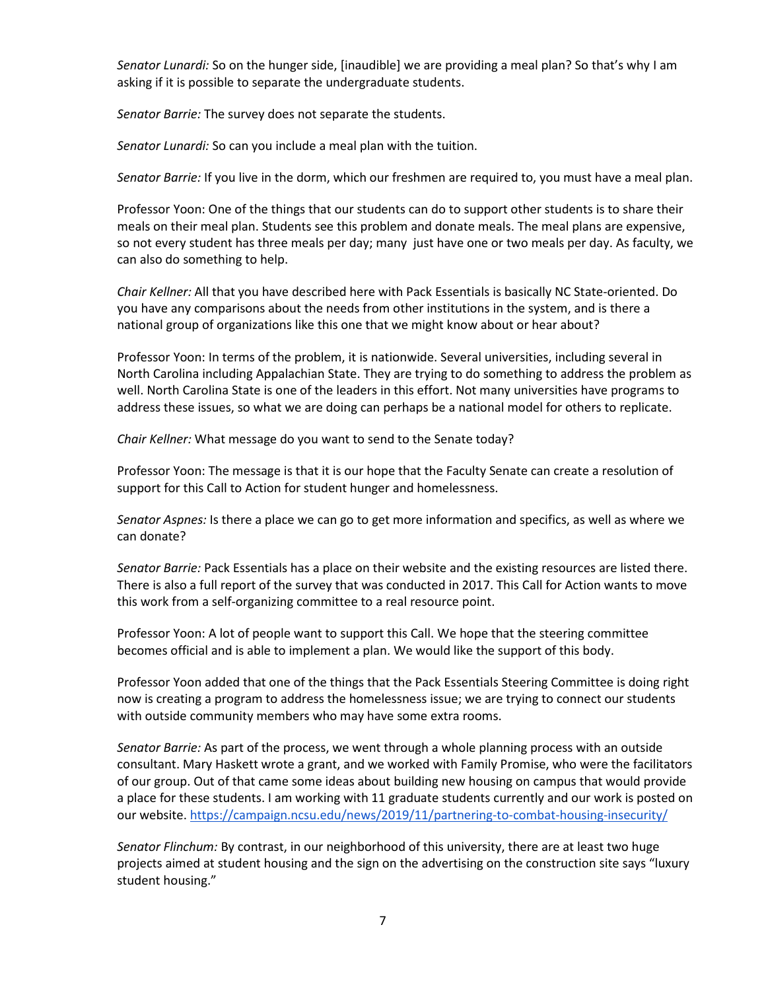*Senator Lunardi:* So on the hunger side, [inaudible] we are providing a meal plan? So that's why I am asking if it is possible to separate the undergraduate students.

*Senator Barrie:* The survey does not separate the students.

*Senator Lunardi:* So can you include a meal plan with the tuition.

*Senator Barrie:* If you live in the dorm, which our freshmen are required to, you must have a meal plan.

Professor Yoon: One of the things that our students can do to support other students is to share their meals on their meal plan. Students see this problem and donate meals. The meal plans are expensive, so not every student has three meals per day; many just have one or two meals per day. As faculty, we can also do something to help.

*Chair Kellner:* All that you have described here with Pack Essentials is basically NC State-oriented. Do you have any comparisons about the needs from other institutions in the system, and is there a national group of organizations like this one that we might know about or hear about?

Professor Yoon: In terms of the problem, it is nationwide. Several universities, including several in North Carolina including Appalachian State. They are trying to do something to address the problem as well. North Carolina State is one of the leaders in this effort. Not many universities have programs to address these issues, so what we are doing can perhaps be a national model for others to replicate.

*Chair Kellner:* What message do you want to send to the Senate today?

Professor Yoon: The message is that it is our hope that the Faculty Senate can create a resolution of support for this Call to Action for student hunger and homelessness.

*Senator Aspnes:* Is there a place we can go to get more information and specifics, as well as where we can donate?

*Senator Barrie:* Pack Essentials has a place on their website and the existing resources are listed there. There is also a full report of the survey that was conducted in 2017. This Call for Action wants to move this work from a self-organizing committee to a real resource point.

Professor Yoon: A lot of people want to support this Call. We hope that the steering committee becomes official and is able to implement a plan. We would like the support of this body.

Professor Yoon added that one of the things that the Pack Essentials Steering Committee is doing right now is creating a program to address the homelessness issue; we are trying to connect our students with outside community members who may have some extra rooms.

*Senator Barrie:* As part of the process, we went through a whole planning process with an outside consultant. Mary Haskett wrote a grant, and we worked with Family Promise, who were the facilitators of our group. Out of that came some ideas about building new housing on campus that would provide a place for these students. I am working with 11 graduate students currently and our work is posted on our website.<https://campaign.ncsu.edu/news/2019/11/partnering-to-combat-housing-insecurity/>

*Senator Flinchum:* By contrast, in our neighborhood of this university, there are at least two huge projects aimed at student housing and the sign on the advertising on the construction site says "luxury student housing."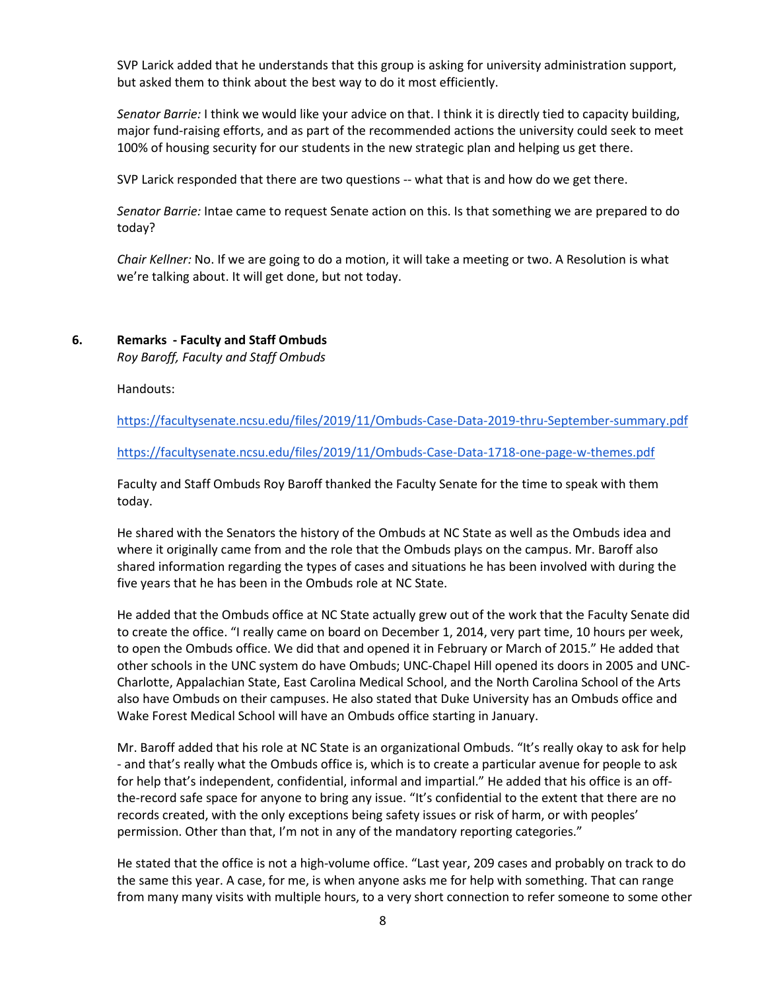SVP Larick added that he understands that this group is asking for university administration support, but asked them to think about the best way to do it most efficiently.

*Senator Barrie:* I think we would like your advice on that. I think it is directly tied to capacity building, major fund-raising efforts, and as part of the recommended actions the university could seek to meet 100% of housing security for our students in the new strategic plan and helping us get there.

SVP Larick responded that there are two questions -- what that is and how do we get there.

*Senator Barrie:* Intae came to request Senate action on this. Is that something we are prepared to do today?

*Chair Kellner:* No. If we are going to do a motion, it will take a meeting or two. A Resolution is what we're talking about. It will get done, but not today.

#### **6. Remarks - Faculty and Staff Ombuds**

*Roy Baroff, Faculty and Staff Ombuds*

Handouts:

<https://facultysenate.ncsu.edu/files/2019/11/Ombuds-Case-Data-2019-thru-September-summary.pdf>

<https://facultysenate.ncsu.edu/files/2019/11/Ombuds-Case-Data-1718-one-page-w-themes.pdf>

Faculty and Staff Ombuds Roy Baroff thanked the Faculty Senate for the time to speak with them today.

He shared with the Senators the history of the Ombuds at NC State as well as the Ombuds idea and where it originally came from and the role that the Ombuds plays on the campus. Mr. Baroff also shared information regarding the types of cases and situations he has been involved with during the five years that he has been in the Ombuds role at NC State.

He added that the Ombuds office at NC State actually grew out of the work that the Faculty Senate did to create the office. "I really came on board on December 1, 2014, very part time, 10 hours per week, to open the Ombuds office. We did that and opened it in February or March of 2015." He added that other schools in the UNC system do have Ombuds; UNC-Chapel Hill opened its doors in 2005 and UNC-Charlotte, Appalachian State, East Carolina Medical School, and the North Carolina School of the Arts also have Ombuds on their campuses. He also stated that Duke University has an Ombuds office and Wake Forest Medical School will have an Ombuds office starting in January.

Mr. Baroff added that his role at NC State is an organizational Ombuds. "It's really okay to ask for help - and that's really what the Ombuds office is, which is to create a particular avenue for people to ask for help that's independent, confidential, informal and impartial." He added that his office is an offthe-record safe space for anyone to bring any issue. "It's confidential to the extent that there are no records created, with the only exceptions being safety issues or risk of harm, or with peoples' permission. Other than that, I'm not in any of the mandatory reporting categories."

He stated that the office is not a high-volume office. "Last year, 209 cases and probably on track to do the same this year. A case, for me, is when anyone asks me for help with something. That can range from many many visits with multiple hours, to a very short connection to refer someone to some other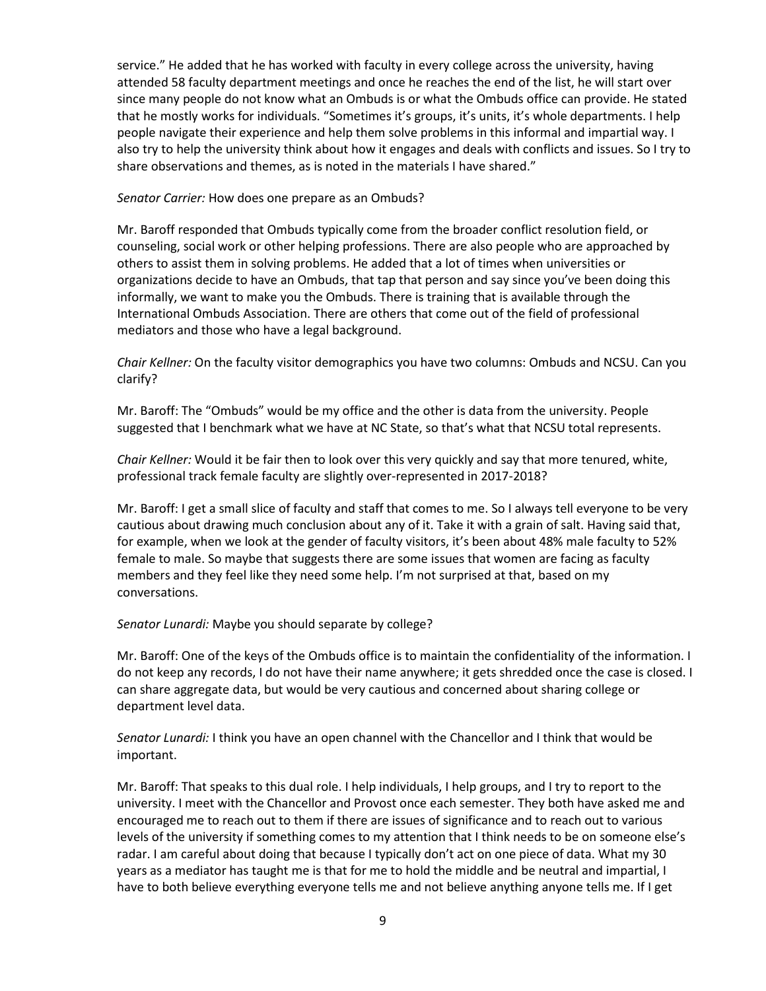service." He added that he has worked with faculty in every college across the university, having attended 58 faculty department meetings and once he reaches the end of the list, he will start over since many people do not know what an Ombuds is or what the Ombuds office can provide. He stated that he mostly works for individuals. "Sometimes it's groups, it's units, it's whole departments. I help people navigate their experience and help them solve problems in this informal and impartial way. I also try to help the university think about how it engages and deals with conflicts and issues. So I try to share observations and themes, as is noted in the materials I have shared."

#### *Senator Carrier:* How does one prepare as an Ombuds?

Mr. Baroff responded that Ombuds typically come from the broader conflict resolution field, or counseling, social work or other helping professions. There are also people who are approached by others to assist them in solving problems. He added that a lot of times when universities or organizations decide to have an Ombuds, that tap that person and say since you've been doing this informally, we want to make you the Ombuds. There is training that is available through the International Ombuds Association. There are others that come out of the field of professional mediators and those who have a legal background.

*Chair Kellner:* On the faculty visitor demographics you have two columns: Ombuds and NCSU. Can you clarify?

Mr. Baroff: The "Ombuds" would be my office and the other is data from the university. People suggested that I benchmark what we have at NC State, so that's what that NCSU total represents.

*Chair Kellner:* Would it be fair then to look over this very quickly and say that more tenured, white, professional track female faculty are slightly over-represented in 2017-2018?

Mr. Baroff: I get a small slice of faculty and staff that comes to me. So I always tell everyone to be very cautious about drawing much conclusion about any of it. Take it with a grain of salt. Having said that, for example, when we look at the gender of faculty visitors, it's been about 48% male faculty to 52% female to male. So maybe that suggests there are some issues that women are facing as faculty members and they feel like they need some help. I'm not surprised at that, based on my conversations.

## *Senator Lunardi:* Maybe you should separate by college?

Mr. Baroff: One of the keys of the Ombuds office is to maintain the confidentiality of the information. I do not keep any records, I do not have their name anywhere; it gets shredded once the case is closed. I can share aggregate data, but would be very cautious and concerned about sharing college or department level data.

*Senator Lunardi:* I think you have an open channel with the Chancellor and I think that would be important.

Mr. Baroff: That speaks to this dual role. I help individuals, I help groups, and I try to report to the university. I meet with the Chancellor and Provost once each semester. They both have asked me and encouraged me to reach out to them if there are issues of significance and to reach out to various levels of the university if something comes to my attention that I think needs to be on someone else's radar. I am careful about doing that because I typically don't act on one piece of data. What my 30 years as a mediator has taught me is that for me to hold the middle and be neutral and impartial, I have to both believe everything everyone tells me and not believe anything anyone tells me. If I get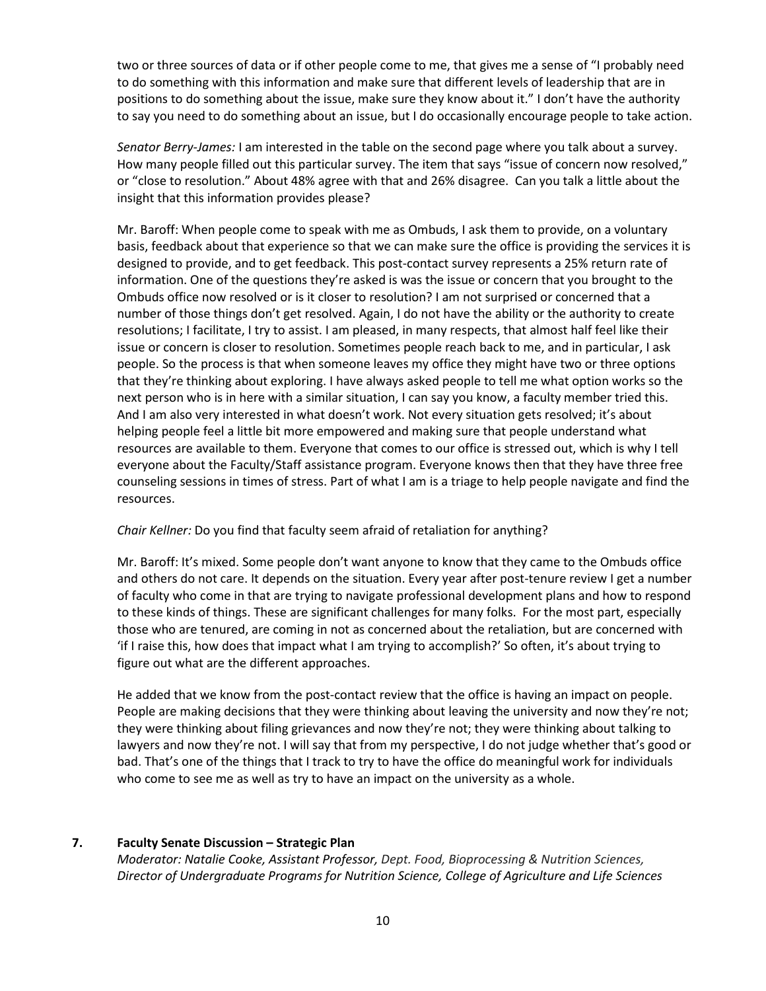two or three sources of data or if other people come to me, that gives me a sense of "I probably need to do something with this information and make sure that different levels of leadership that are in positions to do something about the issue, make sure they know about it." I don't have the authority to say you need to do something about an issue, but I do occasionally encourage people to take action.

*Senator Berry-James:* I am interested in the table on the second page where you talk about a survey. How many people filled out this particular survey. The item that says "issue of concern now resolved," or "close to resolution." About 48% agree with that and 26% disagree. Can you talk a little about the insight that this information provides please?

Mr. Baroff: When people come to speak with me as Ombuds, I ask them to provide, on a voluntary basis, feedback about that experience so that we can make sure the office is providing the services it is designed to provide, and to get feedback. This post-contact survey represents a 25% return rate of information. One of the questions they're asked is was the issue or concern that you brought to the Ombuds office now resolved or is it closer to resolution? I am not surprised or concerned that a number of those things don't get resolved. Again, I do not have the ability or the authority to create resolutions; I facilitate, I try to assist. I am pleased, in many respects, that almost half feel like their issue or concern is closer to resolution. Sometimes people reach back to me, and in particular, I ask people. So the process is that when someone leaves my office they might have two or three options that they're thinking about exploring. I have always asked people to tell me what option works so the next person who is in here with a similar situation, I can say you know, a faculty member tried this. And I am also very interested in what doesn't work. Not every situation gets resolved; it's about helping people feel a little bit more empowered and making sure that people understand what resources are available to them. Everyone that comes to our office is stressed out, which is why I tell everyone about the Faculty/Staff assistance program. Everyone knows then that they have three free counseling sessions in times of stress. Part of what I am is a triage to help people navigate and find the resources.

## *Chair Kellner:* Do you find that faculty seem afraid of retaliation for anything?

Mr. Baroff: It's mixed. Some people don't want anyone to know that they came to the Ombuds office and others do not care. It depends on the situation. Every year after post-tenure review I get a number of faculty who come in that are trying to navigate professional development plans and how to respond to these kinds of things. These are significant challenges for many folks. For the most part, especially those who are tenured, are coming in not as concerned about the retaliation, but are concerned with 'if I raise this, how does that impact what I am trying to accomplish?' So often, it's about trying to figure out what are the different approaches.

He added that we know from the post-contact review that the office is having an impact on people. People are making decisions that they were thinking about leaving the university and now they're not; they were thinking about filing grievances and now they're not; they were thinking about talking to lawyers and now they're not. I will say that from my perspective, I do not judge whether that's good or bad. That's one of the things that I track to try to have the office do meaningful work for individuals who come to see me as well as try to have an impact on the university as a whole.

#### **7. Faculty Senate Discussion – Strategic Plan**

*Moderator: Natalie Cooke, Assistant Professor, Dept. Food, Bioprocessing & Nutrition Sciences, Director of Undergraduate Programs for Nutrition Science, College of Agriculture and Life Sciences*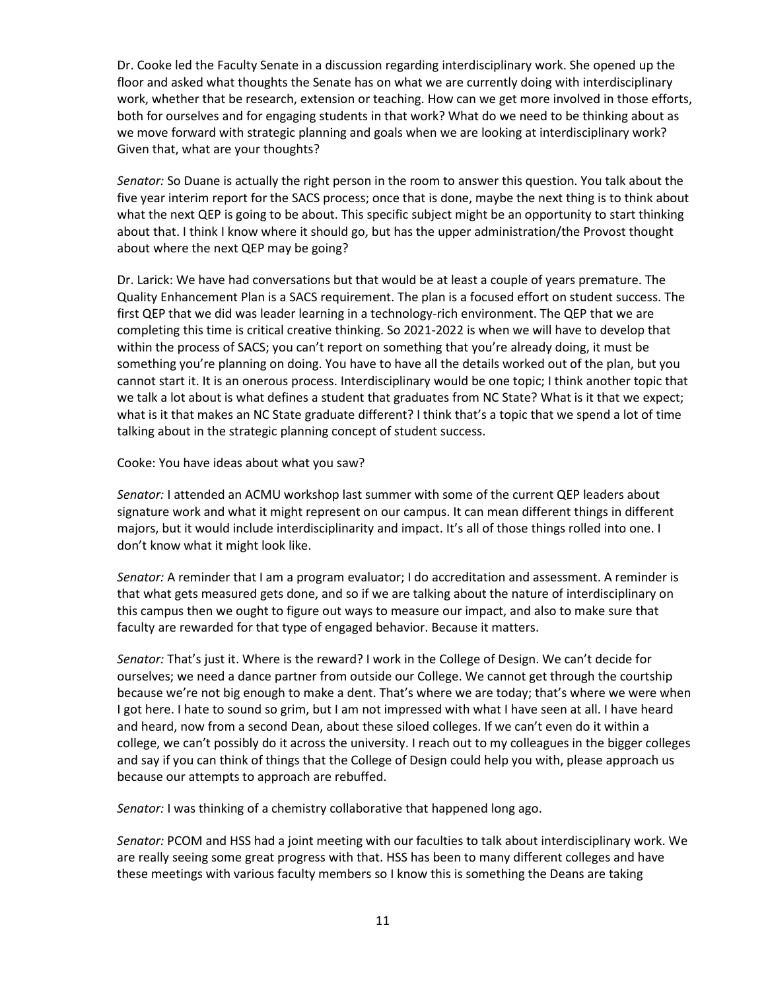Dr. Cooke led the Faculty Senate in a discussion regarding interdisciplinary work. She opened up the floor and asked what thoughts the Senate has on what we are currently doing with interdisciplinary work, whether that be research, extension or teaching. How can we get more involved in those efforts, both for ourselves and for engaging students in that work? What do we need to be thinking about as we move forward with strategic planning and goals when we are looking at interdisciplinary work? Given that, what are your thoughts?

*Senator:* So Duane is actually the right person in the room to answer this question. You talk about the five year interim report for the SACS process; once that is done, maybe the next thing is to think about what the next QEP is going to be about. This specific subject might be an opportunity to start thinking about that. I think I know where it should go, but has the upper administration/the Provost thought about where the next QEP may be going?

Dr. Larick: We have had conversations but that would be at least a couple of years premature. The Quality Enhancement Plan is a SACS requirement. The plan is a focused effort on student success. The first QEP that we did was leader learning in a technology-rich environment. The QEP that we are completing this time is critical creative thinking. So 2021-2022 is when we will have to develop that within the process of SACS; you can't report on something that you're already doing, it must be something you're planning on doing. You have to have all the details worked out of the plan, but you cannot start it. It is an onerous process. Interdisciplinary would be one topic; I think another topic that we talk a lot about is what defines a student that graduates from NC State? What is it that we expect; what is it that makes an NC State graduate different? I think that's a topic that we spend a lot of time talking about in the strategic planning concept of student success.

Cooke: You have ideas about what you saw?

*Senator:* I attended an ACMU workshop last summer with some of the current QEP leaders about signature work and what it might represent on our campus. It can mean different things in different majors, but it would include interdisciplinarity and impact. It's all of those things rolled into one. I don't know what it might look like.

*Senator:* A reminder that I am a program evaluator; I do accreditation and assessment. A reminder is that what gets measured gets done, and so if we are talking about the nature of interdisciplinary on this campus then we ought to figure out ways to measure our impact, and also to make sure that faculty are rewarded for that type of engaged behavior. Because it matters.

*Senator:* That's just it. Where is the reward? I work in the College of Design. We can't decide for ourselves; we need a dance partner from outside our College. We cannot get through the courtship because we're not big enough to make a dent. That's where we are today; that's where we were when I got here. I hate to sound so grim, but I am not impressed with what I have seen at all. I have heard and heard, now from a second Dean, about these siloed colleges. If we can't even do it within a college, we can't possibly do it across the university. I reach out to my colleagues in the bigger colleges and say if you can think of things that the College of Design could help you with, please approach us because our attempts to approach are rebuffed.

*Senator:* I was thinking of a chemistry collaborative that happened long ago.

*Senator:* PCOM and HSS had a joint meeting with our faculties to talk about interdisciplinary work. We are really seeing some great progress with that. HSS has been to many different colleges and have these meetings with various faculty members so I know this is something the Deans are taking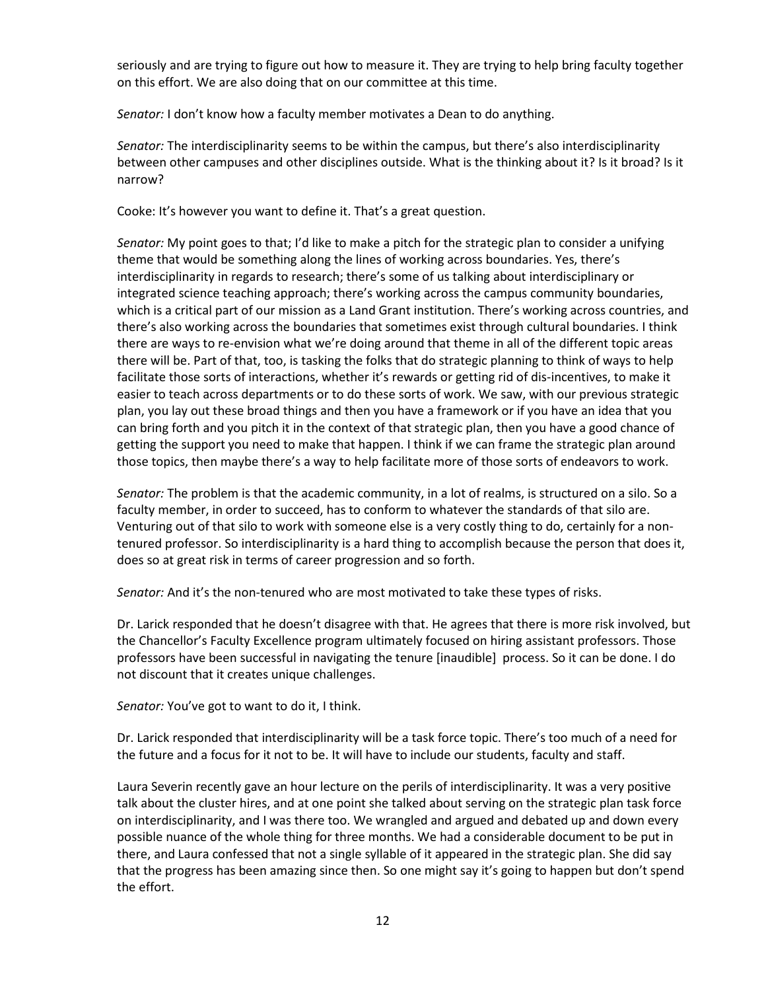seriously and are trying to figure out how to measure it. They are trying to help bring faculty together on this effort. We are also doing that on our committee at this time.

*Senator:* I don't know how a faculty member motivates a Dean to do anything.

*Senator:* The interdisciplinarity seems to be within the campus, but there's also interdisciplinarity between other campuses and other disciplines outside. What is the thinking about it? Is it broad? Is it narrow?

Cooke: It's however you want to define it. That's a great question.

*Senator:* My point goes to that; I'd like to make a pitch for the strategic plan to consider a unifying theme that would be something along the lines of working across boundaries. Yes, there's interdisciplinarity in regards to research; there's some of us talking about interdisciplinary or integrated science teaching approach; there's working across the campus community boundaries, which is a critical part of our mission as a Land Grant institution. There's working across countries, and there's also working across the boundaries that sometimes exist through cultural boundaries. I think there are ways to re-envision what we're doing around that theme in all of the different topic areas there will be. Part of that, too, is tasking the folks that do strategic planning to think of ways to help facilitate those sorts of interactions, whether it's rewards or getting rid of dis-incentives, to make it easier to teach across departments or to do these sorts of work. We saw, with our previous strategic plan, you lay out these broad things and then you have a framework or if you have an idea that you can bring forth and you pitch it in the context of that strategic plan, then you have a good chance of getting the support you need to make that happen. I think if we can frame the strategic plan around those topics, then maybe there's a way to help facilitate more of those sorts of endeavors to work.

*Senator:* The problem is that the academic community, in a lot of realms, is structured on a silo. So a faculty member, in order to succeed, has to conform to whatever the standards of that silo are. Venturing out of that silo to work with someone else is a very costly thing to do, certainly for a nontenured professor. So interdisciplinarity is a hard thing to accomplish because the person that does it, does so at great risk in terms of career progression and so forth.

*Senator:* And it's the non-tenured who are most motivated to take these types of risks.

Dr. Larick responded that he doesn't disagree with that. He agrees that there is more risk involved, but the Chancellor's Faculty Excellence program ultimately focused on hiring assistant professors. Those professors have been successful in navigating the tenure [inaudible] process. So it can be done. I do not discount that it creates unique challenges.

*Senator:* You've got to want to do it, I think.

Dr. Larick responded that interdisciplinarity will be a task force topic. There's too much of a need for the future and a focus for it not to be. It will have to include our students, faculty and staff.

Laura Severin recently gave an hour lecture on the perils of interdisciplinarity. It was a very positive talk about the cluster hires, and at one point she talked about serving on the strategic plan task force on interdisciplinarity, and I was there too. We wrangled and argued and debated up and down every possible nuance of the whole thing for three months. We had a considerable document to be put in there, and Laura confessed that not a single syllable of it appeared in the strategic plan. She did say that the progress has been amazing since then. So one might say it's going to happen but don't spend the effort.